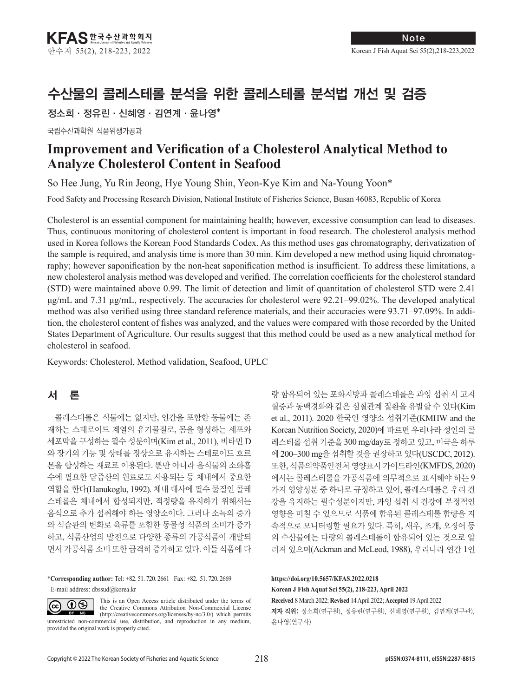# 수산물의 콜레스테롤 분석을 위한 콜레스테롤 분석법 개선 및 검증

정소희·정유린·신혜영·김연계·윤나영\*

국립수산과학원 식품위생가공과

# **Improvement and Verification of a Cholesterol Analytical Method to Analyze Cholesterol Content in Seafood**

So Hee Jung, Yu Rin Jeong, Hye Young Shin, Yeon-Kye Kim and Na-Young Yoon\*

Food Safety and Processing Research Division, National Institute of Fisheries Science, Busan 46083, Republic of Korea

Cholesterol is an essential component for maintaining health; however, excessive consumption can lead to diseases. Thus, continuous monitoring of cholesterol content is important in food research. The cholesterol analysis method used in Korea follows the Korean Food Standards Codex. As this method uses gas chromatography, derivatization of the sample is required, and analysis time is more than 30 min. Kim developed a new method using liquid chromatography; however saponification by the non-heat saponification method is insufficient. To address these limitations, a new cholesterol analysis method was developed and verified. The correlation coefficients for the cholesterol standard (STD) were maintained above 0.99. The limit of detection and limit of quantitation of cholesterol STD were 2.41 μg/mL and 7.31 μg/mL, respectively. The accuracies for cholesterol were 92.21–99.02%. The developed analytical method was also verified using three standard reference materials, and their accuracies were 93.71–97.09%. In addition, the cholesterol content of fishes was analyzed, and the values were compared with those recorded by the United States Department of Agriculture. Our results suggest that this method could be used as a new analytical method for cholesterol in seafood.

Keywords: Cholesterol, Method validation, Seafood, UPLC

# 서 론

 $(cc)$ 

콜레스테롤은 식물에는 없지만, 인간을 포함한 동물에는 존 재하는 스테로이드 계열의 유기물질로, 몸을 형성하는 세포와 세포막을 구성하는 필수 성분이며(Kim et al., 2011), 비타민 D 와 장기의 기능 및 상태를 정상으로 유지하는 스테로이드 호르 몬을 합성하는 재료로 이용된다. 뿐만 아니라 음식물의 소화흡 수에 필요한 담즙산의 원료로도 사용되는 등 체내에서 중요한 역할을 한다(Hanukoglu, 1992). 체내 대사에 필수 물질인 콜레 스테롤은 체내에서 합성되지만, 적정량을 유지하기 위해서는 음식으로 추가 섭취해야 하는 영양소이다. 그러나 소득의 증가 와 식습관의 변화로 육류를 포함한 동물성 식품의 소비가 증가 하고, 식품산업의 발전으로 다양한 종류의 가공식품이 개발되 면서 가공식품 소비 또한 급격히 증가하고 있다. 이들 식품에 다

\***Corresponding author:** Tel: +82. 51. 720. 2661 Fax: +82. 51. 720. 2669 E-mail address: dbssud@korea.kr

This is an Open Access article distributed under the terms of  $\odot\otimes$ the Creative Commons Attribution Non-Commercial License BY NC (http://creativecommons.org/licenses/by-nc/3.0/) which permits unrestricted non-commercial use, distribution, and reproduction in any medium, provided the original work is properly cited.

량 함유되어 있는 포화지방과 콜레스테롤은 과잉 섭취 시 고지 혈증과 동맥경화와 같은 심혈관계 질환을 유발할 수 있다(Kim et al., 2011). 2020 한국인 영양소 섭취기준(KMHW and the Korean Nutrition Society, 2020)에 따르면 우리나라 성인의 콜 레스테롤 섭취 기준을 300 mg/day로 정하고 있고, 미국은 하루 에 200–300 mg을 섭취할 것을 권장하고 있다(USCDC, 2012). 또한, 식품의약품안전처 영양표시 가이드라인(KMFDS, 2020) 에서는 콜레스테롤을 가공식품에 의무적으로 표시해야 하는 9 가지 영양성분 중 하나로 규정하고 있어, 콜레스테롤은 우리 건 강을 유지하는 필수성분이지만, 과잉 섭취 시 건강에 부정적인 영향을 미칠 수 있으므로 식품에 함유된 콜레스테롤 함량을 지 속적으로 모니터링할 필요가 있다. 특히, 새우, 조개, 오징어 등 의 수산물에는 다량의 콜레스테롤이 함유되어 있는 것으로 알 려져 있으며(Ackman and McLeod, 1988), 우리나라 연간 1인

**Received** 8 March 2022; **Revised** 14 April 2022; **Accepted** 19 April 2022 저자 직위: 정소희(연구원), 정유린(연구원), 신혜영(연구원), 김연계(연구관), 윤나영(연구사) **https://doi.org/10.5657/KFAS.2022.0218 Korean J Fish Aquat Sci 55(2), 218-223, April 2022**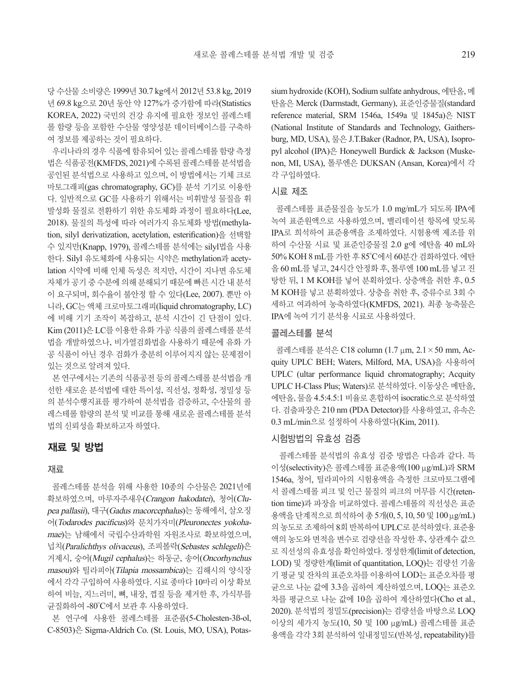당 수산물 소비량은 1999년 30.7 kg에서 2012년 53.8 kg, 2019 년 69.8 kg으로 20년 동안 약 127%가 증가함에 따라(Statistics KOREA, 2022) 국민의 건강 유지에 필요한 정보인 콜레스테 롤 함량 등을 포함한 수산물 영양성분 데이터베이스를 구축하 여 정보를 제공하는 것이 필요하다.

우리나라의 경우 식품에 함유되어 있는 콜레스테롤 함량 측정 법은 식품공전(KMFDS, 2021)에 수록된 콜레스테롤 분석법을 공인된 분석법으로 사용하고 있으며, 이 방법에서는 기체 크로 마토그래피(gas chromatography, GC)를 분석 기기로 이용한 다. 일반적으로 GC를 사용하기 위해서는 비휘발성 물질을 휘 발성화 물질로 전환하기 위한 유도체화 과정이 필요하다(Lee, 2018). 물질의 특성에 따라 여러가지 유도체화 방법(methylation, silyl derivatization, acetylation, esterification)을 선택할 수 있지만(Knapp, 1979), 콜레스테롤 분석에는 silyl법을 사용 한다. Silyl 유도체화에 사용되는 시약은 methylation과 acetylation 시약에 비해 인체 독성은 적지만, 시간이 지나면 유도체 자체가 공기 중 수분에 의해 분해되기 때문에 빠른 시간 내 분석 이 요구되며, 회수율이 불안정 할 수 있다(Lee, 2007). 뿐만 아 니라, GC는 액체 크로마토그래피(liquid chromatography, LC) 에 비해 기기 조작이 복잡하고, 분석 시간이 긴 단점이 있다. Kim (2011)은 LC를 이용한 유화 가공 식품의 콜레스테롤 분석 법을 개발하였으나, 비가열검화법을 사용하기 때문에 유화 가 공 식품이 아닌 경우 검화가 충분히 이루어지지 않는 문제점이 있는 것으로 알려져 있다.

본 연구에서는 기존의 식품공전 등의 콜레스테롤 분석법을 개 선한 새로운 분석법에 대한 특이성, 직선성, 정확성, 정밀성 등 의 분석수행지표를 평가하여 분석법을 검증하고, 수산물의 콜 레스테롤 함량의 분석 및 비교를 통해 새로운 콜레스테롤 분석 법의 신뢰성을 확보하고자 하였다.

#### 재료 및 방법

#### 재료

콜레스테롤 분석을 위해 사용한 10종의 수산물은 2021년에 확보하였으며, 마루자주새우(Crangon hakodatei), 청어(Clupea pallasii), 대구(Gadus macorcephalus)는 동해에서, 살오징 어(Todarodes pacificus)와 문치가자미(Pleuronectes yokohamae)는 남해에서 국립수산과학원 자원조사로 확보하였으며, 넙치(Paralichthys olivaceus), 조피볼락(Sebastes schlegeli)은 거제시, 숭어(Mugil cephalus)는 하동군, 송어(Oncorhynchus masou)와 틸라피아(Tilapia mossambica)는 김해시의 양식장 에서 각각 구입하여 사용하였다. 시료 종마다 10마리 이상 확보 하여 비늘, 지느러미, 뼈, 내장, 껍질 등을 제거한 후, 가식부를 균질화하여 -80°C에서 보관 후 사용하였다.

본 연구에 사용한 콜레스테롤 표준품(5-Cholesten-3ß-ol, C-8503)은 Sigma-Aldrich Co. (St. Louis, MO, USA), Potassium hydroxide (KOH), Sodium sulfate anhydrous, 에탄올, 메 탄올은 Merck (Darmstadt, Germany), 표준인증물질(standard reference material, SRM 1546a, 1549a 및 1845a)은 NIST (National Institute of Standards and Technology, Gaithersburg, MD, USA), 물은 J.T.Baker (Radnor, PA, USA), Isopropyl alcohol (IPA)은 Honeywell Burdick & Jackson (Muskenon, MI, USA), 톨루엔은 DUKSAN (Ansan, Korea)에서 각 각 구입하였다.

#### 시료 제조

콜레스테롤 표준물질을 농도가 1.0 mg/mL가 되도록 IPA에 녹여 표준원액으로 사용하였으며, 밸리데이션 항목에 맞도록 IPA로 희석하여 표준용액을 조제하였다. 시험용액 제조를 위 하여 수산물 시료 및 표준인증물질 2.0 g에 에탄올 40 mL와 50% KOH 8 mL를 가한 후 85°C에서 60분간 검화하였다. 에탄 올 60 mL를 넣고, 24시간 안정화 후, 톨루엔 100 mL를 넣고 진 탕한 뒤, 1 M KOH를 넣어 분획하였다. 상층액을 취한 후, 0.5 M KOH를 넣고 분획하였다. 상층을 취한 후, 증류수로 3회 수 세하고 여과하여 농축하였다(KMFDS, 2021). 최종 농축물은 IPA에 녹여 기기 분석용 시료로 사용하였다.

#### 콜레스테롤 분석

콜레스테롤 분석은 C18 column (1.7 μm, 2.1×50 mm, Acquity UPLC BEH; Waters, Milford, MA, USA)을 사용하여 UPLC (ultar performance liquid chromatography; Acquity UPLC H-Class Plus; Waters)로 분석하였다. 이동상은 메탄올, 에탄올, 물을 4.5:4.5:1 비율로 혼합하여 isocratic으로 분석하였 다. 검출파장은 210 nm (PDA Detector)를 사용하였고, 유속은 0.3 mL/min으로 설정하여 사용하였다(Kim, 2011).

#### 시험방법의 유효성 검증

콜레스테롤 분석법의 유효성 검증 방법은 다음과 같다. 특 이성(selectivity)은 콜레스테롤 표준용액(100 μg/mL)과 SRM 1546a, 청어, 틸라피아의 시험용액을 측정한 크로마토그램에 서 콜레스테롤 피크 및 인근 물질의 피크의 머무름 시간(retention time)과 파장을 비교하였다. 콜레스테롤의 직선성은 표준 용액을 단계적으로 희석하여 총 5개(0, 5, 10, 50 및 100 μg/mL) 의 농도로 조제하여 8회 반복하여 UPLC로 분석하였다. 표준용 액의 농도와 면적을 변수로 검량선을 작성한 후, 상관계수 값으 로 직선성의 유효성을 확인하였다. 정성한계(limit of detection, LOD) 및 정량한계(limit of quantitation, LOQ)는 검량선 기울 기 평균 및 잔차의 표준오차를 이용하여 LOD는 표준오차를 평 균으로 나눈 값에 3.3을 곱하여 계산하였으며, LOQ는 표준오 차를 평균으로 나눈 값에 10을 곱하여 계산하였다(Cho et al., 2020). 분석법의 정밀도(precision)는 검량선을 바탕으로 LOQ 이상의 세가지 농도(10, 50 및 100 μg/mL) 콜레스테롤 표준 용액을 각각 3회 분석하여 일내정밀도(반복성, repeatability)를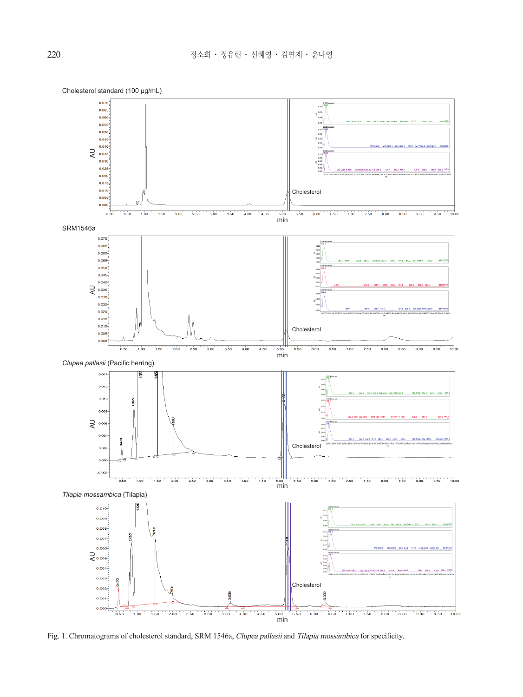

Fig. 1. Chromatograms of cholesterol standard, SRM 1546a, Clupea pallasii and Tilapia mossambica for specificity.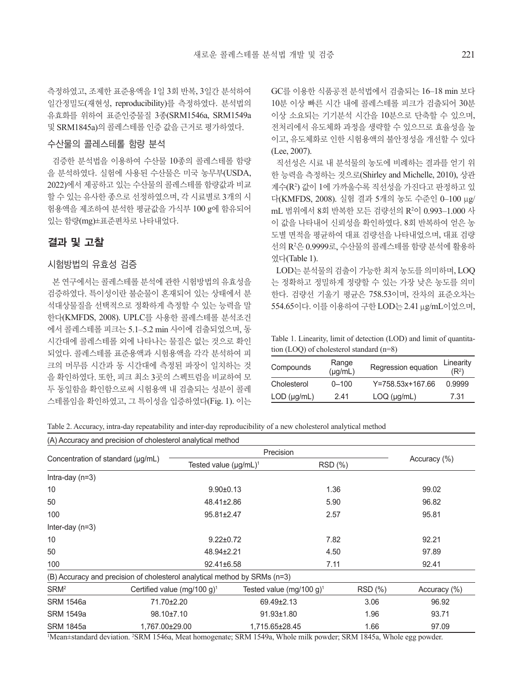측정하였고, 조제한 표준용액을 1일 3회 반복, 3일간 분석하여 일간정밀도(재현성, reproducibility)를 측정하였다. 분석법의 유효화를 위하여 표준인증물질 3종(SRM1546a, SRM1549a

및 SRM1845a)의 콜레스테롤 인증 값을 근거로 평가하였다.

## 수산물의 콜레스테롤 함량 분석

검증한 분석법을 이용하여 수산물 10종의 콜레스테롤 함량 을 분석하였다. 실험에 사용된 수산물은 미국 농무부(USDA, 2022)에서 제공하고 있는 수산물의 콜레스테롤 함량값과 비교 할 수 있는 유사한 종으로 선정하였으며, 각 시료별로 3개의 시 험용액을 제조하여 분석한 평균값을 가식부 100 g에 함유되어 있는 함량(mg)±표준편차로 나타내었다.

# 결과 및 고찰

# 시험방법의 유효성 검증

본 연구에서는 콜레스테롤 분석에 관한 시험방법의 유효성을 검증하였다. 특이성이란 불순물이 혼재되어 있는 상태에서 분 석대상물질을 선택적으로 정확하게 측정할 수 있는 능력을 말 한다(KMFDS, 2008). UPLC를 사용한 콜레스테롤 분석조건 에서 콜레스테롤 피크는 5.1–5.2 min 사이에 검출되었으며, 동 시간대에 콜레스테롤 외에 나타나는 물질은 없는 것으로 확인 되었다. 콜레스테롤 표준용액과 시험용액을 각각 분석하여 피 크의 머무름 시간과 동 시간대에 측정된 파장이 일치하는 것 을 확인하였다. 또한, 피크 최소 3곳의 스펙트럼을 비교하여 모 두 동일함을 확인함으로써 시험용액 내 검출되는 성분이 콜레 스테롤임을 확인하였고, 그 특이성을 입증하였다(Fig. 1). 이는 GC를 이용한 식품공전 분석법에서 검출되는 16–18 min 보다 10분 이상 빠른 시간 내에 콜레스테롤 피크가 검출되어 30분 이상 소요되는 기기분석 시간을 10분으로 단축할 수 있으며, 전처리에서 유도체화 과정을 생략할 수 있으므로 효율성을 높 이고, 유도체화로 인한 시험용액의 불안정성을 개선할 수 있다 (Lee, 2007).

직선성은 시료 내 분석물의 농도에 비례하는 결과를 얻기 위 한 능력을 측정하는 것으로(Shirley and Michelle, 2010), 상관 계수(R²) 값이 1에 가까울수록 직선성을 가진다고 판정하고 있 다(KMFDS, 2008). 실험 결과 5개의 농도 수준인 0–100 μg/ mL 범위에서 8회 반복한 모든 검량선의 R<sup>2</sup>이 0.993–1.000 사 이 값을 나타내어 신뢰성을 확인하였다. 8회 반복하여 얻은 농 도별 면적을 평균하여 대표 검량선을 나타내었으며, 대표 검량 선의 R<sup>2</sup> 은 0.9999로, 수산물의 콜레스테롤 함량 분석에 활용하 였다(Table 1).

LOD는 분석물의 검출이 가능한 최저 농도를 의미하며, LOQ 는 정확하고 정밀하게 정량할 수 있는 가장 낮은 농도를 의미 한다. 검량선 기울기 평균은 758.53이며, 잔차의 표준오차는 554.65이다. 이를 이용하여 구한 LOD는 2.41 μg/mL이었으며,

Table 1. Linearity, limit of detection (LOD) and limit of quantitation (LOQ) of cholesterol standard (n=8)

| Compounds           | Range<br>$(\mu g/mL)$ | Regression equation | Linearity<br>(R <sup>2</sup> ) |
|---------------------|-----------------------|---------------------|--------------------------------|
| Cholesterol         | $0 - 100$             | Y=758.53x+167.66    | 0.9999                         |
| $LOD$ ( $\mu$ g/mL) | 2.41                  | $LOQ$ ( $\mu$ g/mL) | 7.31                           |
|                     |                       |                     |                                |

Table 2. Accuracy, intra-day repeatability and inter-day reproducibility of a new cholesterol analytical method

| (A) Accuracy and precision of cholesterol analytical method               |                                         |                                      |         |         |              |  |  |
|---------------------------------------------------------------------------|-----------------------------------------|--------------------------------------|---------|---------|--------------|--|--|
|                                                                           | Precision                               |                                      |         |         |              |  |  |
| Concentration of standard (µg/mL)                                         | Tested value $(\mu g/mL)^1$             |                                      | RSD (%) |         | Accuracy (%) |  |  |
| Intra-day $(n=3)$                                                         |                                         |                                      |         |         |              |  |  |
| 10                                                                        | $9.90+0.13$                             |                                      | 1.36    |         | 99.02        |  |  |
| 50                                                                        | 48.41±2.86                              |                                      | 5.90    |         | 96.82        |  |  |
| 100                                                                       | 95.81±2.47                              |                                      | 2.57    |         | 95.81        |  |  |
| Inter-day $(n=3)$                                                         |                                         |                                      |         |         |              |  |  |
| 10                                                                        | $9.22 \pm 0.72$                         |                                      | 7.82    |         | 92.21        |  |  |
| 50                                                                        | 48.94±2.21                              |                                      | 4.50    |         | 97.89        |  |  |
| 100                                                                       | 92.41±6.58                              |                                      | 7.11    |         | 92.41        |  |  |
| (B) Accuracy and precision of cholesterol analytical method by SRMs (n=3) |                                         |                                      |         |         |              |  |  |
| SRM <sup>2</sup>                                                          | Certified value (mg/100 g) <sup>1</sup> | Tested value (mg/100 g) <sup>1</sup> |         | RSD (%) | Accuracy (%) |  |  |
| <b>SRM 1546a</b>                                                          | 71.70±2.20                              | 69.49±2.13                           |         | 3.06    | 96.92        |  |  |
| <b>SRM 1549a</b>                                                          | 98.10±7.10                              | $91.93 \pm 1.80$                     |         | 1.96    | 93.71        |  |  |
| <b>SRM 1845a</b>                                                          | 1,767.00±29.00                          | 1,715.65±28.45                       |         | 1.66    | 97.09        |  |  |

1 Mean±standard deviation. 2 SRM 1546a, Meat homogenate; SRM 1549a, Whole milk powder; SRM 1845a, Whole egg powder.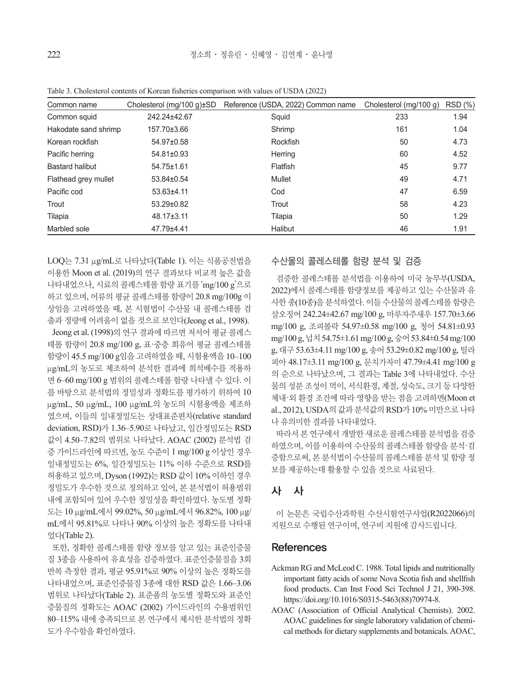| Common name            | Cholesterol $(mg/100 g) \pm SD$ | Reference (USDA, 2022) Common name | Cholesterol (mg/100 g) | RSD (%) |
|------------------------|---------------------------------|------------------------------------|------------------------|---------|
| Common squid           | 242.24±42.67                    | Squid                              | 233                    | 1.94    |
| Hakodate sand shrimp   | 157.70±3.66                     | Shrimp                             | 161                    | 1.04    |
| Korean rockfish        | 54.97±0.58                      | Rockfish                           | 50                     | 4.73    |
| Pacific herring        | 54.81±0.93                      | Herring                            | 60                     | 4.52    |
| <b>Bastard halibut</b> | 54.75±1.61                      | Flatfish                           | 45                     | 9.77    |
| Flathead grey mullet   | 53.84±0.54                      | Mullet                             | 49                     | 4.71    |
| Pacific cod            | $53.63+4.11$                    | Cod                                | 47                     | 6.59    |
| Trout                  | 53.29±0.82                      | Trout                              | 58                     | 4.23    |
| Tilapia                | 48.17±3.11                      | Tilapia                            | 50                     | 1.29    |
| Marbled sole           | 47.79±4.41                      | Halibut                            | 46                     | 1.91    |

Table 3. Cholesterol contents of Korean fisheries comparison with values of USDA (2022)

LOQ는 7.31 μg/mL로 나타났다(Table 1). 이는 식품공전법을 이용한 Moon et al. (2019)의 연구 결과보다 비교적 높은 값을 나타내었으나, 시료의 콜레스테롤 함량 표기를 'mg/100 g'으로 하고 있으며, 어류의 평균 콜레스테롤 함량이 20.8 mg/100g 이 상임을 고려하였을 때, 본 시험법이 수산물 내 콜레스테롤 검 출과 정량에 어려움이 없을 것으로 보인다(Jeong et al., 1998).

Jeong et al. (1998)의 연구 결과에 따르면 저서어 평균 콜레스 테롤 함량이 20.8 mg/100 g, 표·중층 회유어 평균 콜레스테롤 함량이 45.5 mg/100 g임을 고려하였을 때, 시험용액을 10–100 μg/mL의 농도로 제조하여 분석한 결과에 희석배수를 적용하 면 6–60 mg/100 g 범위의 콜레스테롤 함량 나타낼 수 있다. 이 를 바탕으로 분석법의 정밀성과 정확도를 평가하기 위하여 10 μg/mL, 50 μg/mL, 100 μg/mL의 농도의 시험용액을 제조하 였으며, 이들의 일내정밀도는 상대표준편차(relative standard deviation, RSD)가 1.36–5.90로 나타났고, 일간정밀도는 RSD 값이 4.50–7.82의 범위로 나타났다. AOAC (2002) 분석법 검 증 가이드라인에 따르면, 농도 수준이 1 mg/100 g 이상인 경우 일내정밀도는 6%, 일간정밀도는 11% 이하 수준으로 RSD를 허용하고 있으며, Dyson (1992)는 RSD 값이 10% 이하인 경우 정밀도가 우수한 것으로 정의하고 있어, 본 분석법이 허용범위 내에 포함되어 있어 우수한 정밀성을 확인하였다. 농도별 정확 도는 10 μg/mL에서 99.02%, 50 μg/mL에서 96.82%, 100 μg/ mL에서 95.81%로 나타나 90% 이상의 높은 정확도를 나타내 었다(Table 2).

또한, 정확한 콜레스테롤 함량 정보를 알고 있는 표준인증물 질 3종을 사용하여 유효성을 검증하였다. 표준인증물질을 3회 반복 측정한 결과, 평균 95.91%로 90% 이상의 높은 정확도를 나타내었으며, 표준인증물질 3종에 대한 RSD 값은 1.66–3.06 범위로 나타났다(Table 2). 표준품의 농도별 정확도와 표준인 증물질의 정확도는 AOAC (2002) 가이드라인의 수용범위인 80–115% 내에 충족되므로 본 연구에서 제시한 분석법의 정확 도가 우수함을 확인하였다.

## 수산물의 콜레스테롤 함량 분석 및 검증

검증한 콜레스테롤 분석법을 이용하여 미국 농무부(USDA, 2022)에서 콜레스테롤 함량정보를 제공하고 있는 수산물과 유 사한 종(10종)을 분석하였다. 이들 수산물의 콜레스테롤 함량은 살오징어 242.24±42.67 mg/100 g, 마루자주새우 157.70±3.66 mg/100 g, 조피볼락 54.97±0.58 mg/100 g, 청어 54.81±0.93 mg/100 g, 넙치 54.75±1.61 mg/100 g, 숭어 53.84±0.54 mg/100 g, 대구 53.63±4.11 mg/100 g, 송어 53.29±0.82 mg/100 g, 틸라 피아 48.17±3.11 mg/100 g, 문치가자미 47.79±4.41 mg/100 g 의 순으로 나타났으며, 그 결과는 Table 3에 나타내었다. 수산 물의 성분 조성이 먹이, 서식환경, 계절, 성숙도, 크기 등 다양한 체내·외 환경 조건에 따라 영향을 받는 점을 고려하면(Moon et al., 2012), USDA의 값과 분석값의 RSD가 10% 미만으로 나타 나 유의미한 결과를 나타내었다.

따라서 본 연구에서 개발한 새로운 콜레스테롤 분석법을 검증 하였으며, 이를 이용하여 수산물의 콜레스테롤 함량을 분석·검 증함으로써, 본 분석법이 수산물의 콜레스테롤 분석 및 함량 정 보를 제공하는데 활용할 수 있을 것으로 사료된다.

# 사 사

이 논문은 국립수산과학원 수산시험연구사업(R2022066)의 지원으로 수행된 연구이며, 연구비 지원에 감사드립니다.

#### **References**

- Ackman RG and McLeod C. 1988. Total lipids and nutritionally important fatty acids of some Nova Scotia fish and shellfish food products. Can Inst Food Sci Technol J 21, 390-398. https://doi.org/10.1016/S0315-5463(88)70974-8.
- AOAC (Association of Official Analytical Chemists). 2002. AOAC guidelines for single laboratory validation of chemical methods for dietary supplements and botanicals. AOAC,